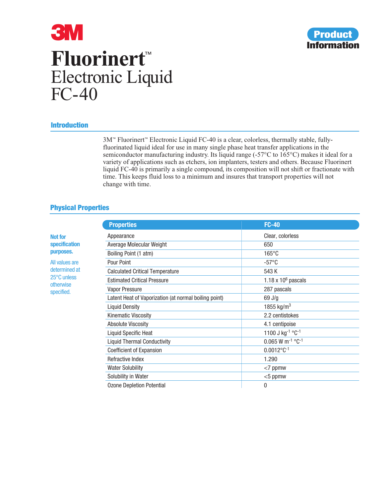

# **3M Fluorinert**™ Electronic Liquid FC-40

## **Introduction**

3M™ Fluorinert™ Electronic Liquid FC-40 is a clear, colorless, thermally stable, fullyfluorinated liquid ideal for use in many single phase heat transfer applications in the semiconductor manufacturing industry. Its liquid range (-57°C to 165°C) makes it ideal for a variety of applications such as etchers, ion implanters, testers and others. Because Fluorinert liquid FC-40 is primarily a single compound, its composition will not shift or fractionate with time. This keeps fluid loss to a minimum and insures that transport properties will not change with time.

## **Physical Properties**

|                                                                           | <b>Properties</b>                                     | <b>FC-40</b>                               |
|---------------------------------------------------------------------------|-------------------------------------------------------|--------------------------------------------|
| <b>Not for</b>                                                            | Appearance                                            | Clear, colorless                           |
| <b>specification</b><br>purposes.                                         | Average Molecular Weight                              | 650                                        |
|                                                                           | Boiling Point (1 atm)                                 | $165^{\circ}$ C                            |
| All values are<br>determined at<br>25°C unless<br>otherwise<br>specified. | Pour Point                                            | $-57^{\circ}$ C                            |
|                                                                           | <b>Calculated Critical Temperature</b>                | 543 K                                      |
|                                                                           | <b>Estimated Critical Pressure</b>                    | 1.18 x $106$ pascals                       |
|                                                                           | <b>Vapor Pressure</b>                                 | 287 pascals                                |
|                                                                           | Latent Heat of Vaporization (at normal boiling point) | $69$ J/g                                   |
|                                                                           | <b>Liquid Density</b>                                 | 1855 kg/m <sup>3</sup>                     |
|                                                                           | Kinematic Viscosity                                   | 2.2 centistokes                            |
|                                                                           | <b>Absolute Viscosity</b>                             | 4.1 centipoise                             |
|                                                                           | <b>Liquid Specific Heat</b>                           | 1100 J kg <sup>-1</sup> °C <sup>-1</sup>   |
|                                                                           | <b>Liquid Thermal Conductivity</b>                    | $0.065$ W m <sup>-1</sup> °C <sup>-1</sup> |
|                                                                           | <b>Coefficient of Expansion</b>                       | $0.0012^{\circ}C^{-1}$                     |
|                                                                           | Refractive Index                                      | 1.290                                      |
|                                                                           | <b>Water Solubility</b>                               | $<$ 7 ppmw                                 |
|                                                                           | Solubility in Water                                   | $<$ 5 ppmw                                 |
|                                                                           | <b>Ozone Depletion Potential</b>                      | 0                                          |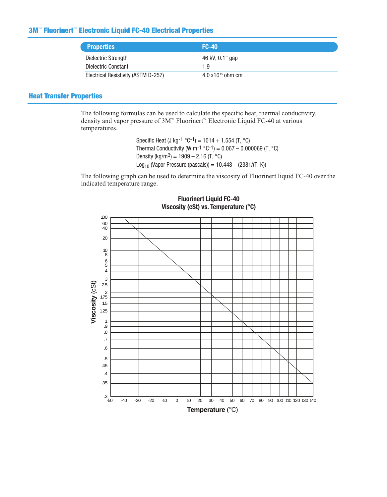## **3M**™ **Fluorinert**™ **Electronic Liquid FC-40 Electrical Properties**

| <b>Properties</b>                   | $FC-40$                     |
|-------------------------------------|-----------------------------|
| Dielectric Strength                 | 46 kV, 0.1" gap             |
| Dielectric Constant                 | 1.9                         |
| Electrical Resistivity (ASTM D-257) | $4.0 \times 10^{15}$ ohm cm |

## **Heat Transfer Properties**

The following formulas can be used to calculate the specific heat, thermal conductivity, density and vapor pressure of 3M™ Fluorinert™ Electronic Liquid FC-40 at various temperatures.

> Specific Heat (J kg-1  $^{\circ}$ C-1) = 1014 + 1.554 (T,  $^{\circ}$ C) Thermal Conductivity (W m<sup>-1</sup> °C<sup>-1</sup>) =  $0.067 - 0.000069$  (T, °C) Density (kg/m<sup>3</sup>) = 1909 – 2.16 (T, °C) Log<sub>10</sub> (Vapor Pressure (pascals)) =  $10.448 - (2381/(T, K))$

The following graph can be used to determine the viscosity of Fluorinert liquid FC-40 over the indicated temperature range.



## **Fluorinert Liquid FC-40 Viscosity (cSt) vs. Temperature (°C)**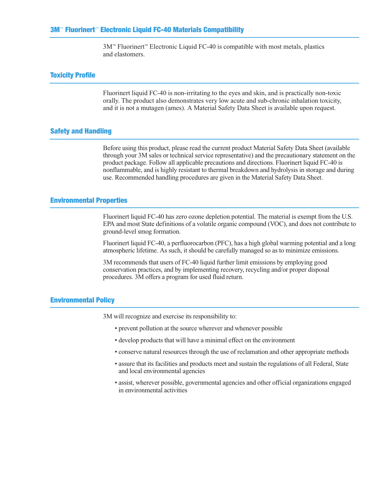3M™ Fluorinert™ Electronic Liquid FC-40 is compatible with most metals, plastics and elastomers.

#### **Toxicity Profile**

Fluorinert liquid FC-40 is non-irritating to the eyes and skin, and is practically non-toxic orally. The product also demonstrates very low acute and sub-chronic inhalation toxicity, and it is not a mutagen (ames). A Material Safety Data Sheet is available upon request.

#### **Safety and Handling**

Before using this product, please read the current product Material Safety Data Sheet (available through your 3M sales or technical service representative) and the precautionary statement on the product package. Follow all applicable precautions and directions. Fluorinert liquid FC-40 is nonflammable, and is highly resistant to thermal breakdown and hydrolysis in storage and during use. Recommended handling procedures are given in the Material Safety Data Sheet.

#### **Environmental Properties**

Fluorinert liquid FC-40 has zero ozone depletion potential. The material is exempt from the U.S. EPA and most State definitions of a volatile organic compound (VOC), and does not contribute to ground-level smog formation.

Fluorinert liquid FC-40, a perfluorocarbon (PFC), has a high global warming potential and a long atmospheric lifetime. As such, it should be carefully managed so as to minimize emissions.

3M recommends that users of FC-40 liquid further limit emissions by employing good conservation practices, and by implementing recovery, recycling and/or proper disposal procedures. 3M offers a program for used fluid return.

#### **Environmental Policy**

3M will recognize and exercise its responsibility to:

- prevent pollution at the source wherever and whenever possible
- develop products that will have a minimal effect on the environment
- conserve natural resources through the use of reclamation and other appropriate methods
- assure that its facilities and products meet and sustain the regulations of all Federal, State and local environmental agencies
- assist, wherever possible, governmental agencies and other official organizations engaged in environmental activities